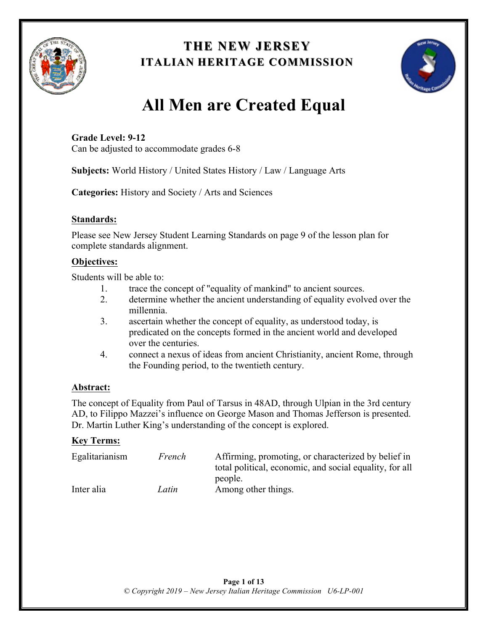

## **THE NEW JERSEY THE NEW JERSEY ITALIAN HERITAGE COMMISSION**



# **All Men are Created Equal**

**Grade Level: 9-12** Can be adjusted to accommodate grades 6-8

**Subjects:** World History / United States History / Law / Language Arts

**Categories:** History and Society / Arts and Sciences

## **Standards:**

Please see New Jersey Student Learning Standards on page 9 of the lesson plan for complete standards alignment.

## **Objectives:**

Students will be able to:

- 1. trace the concept of "equality of mankind" to ancient sources.
- 2. determine whether the ancient understanding of equality evolved over the millennia.
- 3. ascertain whether the concept of equality, as understood today, is predicated on the concepts formed in the ancient world and developed over the centuries.
- 4. connect a nexus of ideas from ancient Christianity, ancient Rome, through the Founding period, to the twentieth century.

## **Abstract:**

The concept of Equality from Paul of Tarsus in 48AD, through Ulpian in the 3rd century AD, to Filippo Mazzei's influence on George Mason and Thomas Jefferson is presented. Dr. Martin Luther King's understanding of the concept is explored.

## **Key Terms:**

| Egalitarianism | French | Affirming, promoting, or characterized by belief in<br>total political, economic, and social equality, for all |
|----------------|--------|----------------------------------------------------------------------------------------------------------------|
|                |        | people.                                                                                                        |
| Inter alia     | Latin  | Among other things.                                                                                            |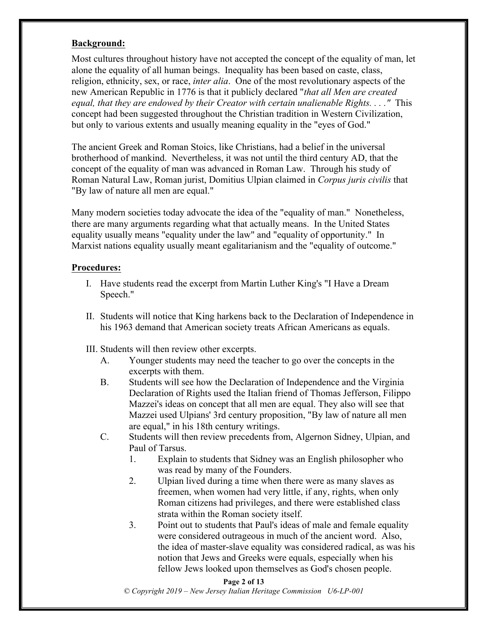## **Background:**

Most cultures throughout history have not accepted the concept of the equality of man, let alone the equality of all human beings. Inequality has been based on caste, class, religion, ethnicity, sex, or race, *inter alia*. One of the most revolutionary aspects of the new American Republic in 1776 is that it publicly declared "*that all Men are created equal, that they are endowed by their Creator with certain unalienable Rights. . . ."* This concept had been suggested throughout the Christian tradition in Western Civilization, but only to various extents and usually meaning equality in the "eyes of God."

The ancient Greek and Roman Stoics, like Christians, had a belief in the universal brotherhood of mankind. Nevertheless, it was not until the third century AD, that the concept of the equality of man was advanced in Roman Law. Through his study of Roman Natural Law, Roman jurist, Domitius Ulpian claimed in *Corpus juris civilis* that "By law of nature all men are equal."

Many modern societies today advocate the idea of the "equality of man." Nonetheless, there are many arguments regarding what that actually means. In the United States equality usually means "equality under the law" and "equality of opportunity." In Marxist nations equality usually meant egalitarianism and the "equality of outcome."

### **Procedures:**

- I. Have students read the excerpt from Martin Luther King's "I Have a Dream Speech."
- II. Students will notice that King harkens back to the Declaration of Independence in his 1963 demand that American society treats African Americans as equals.
- III. Students will then review other excerpts.
	- A. Younger students may need the teacher to go over the concepts in the excerpts with them.
	- B. Students will see how the Declaration of Independence and the Virginia Declaration of Rights used the Italian friend of Thomas Jefferson, Filippo Mazzei's ideas on concept that all men are equal. They also will see that Mazzei used Ulpians' 3rd century proposition, "By law of nature all men are equal," in his 18th century writings.
	- C. Students will then review precedents from, Algernon Sidney, Ulpian, and Paul of Tarsus.
		- 1. Explain to students that Sidney was an English philosopher who was read by many of the Founders.
		- 2. Ulpian lived during a time when there were as many slaves as freemen, when women had very little, if any, rights, when only Roman citizens had privileges, and there were established class strata within the Roman society itself.
		- 3. Point out to students that Paul's ideas of male and female equality were considered outrageous in much of the ancient word. Also, the idea of master-slave equality was considered radical, as was his notion that Jews and Greeks were equals, especially when his fellow Jews looked upon themselves as God's chosen people.

#### **Page 2 of 13**

*© Copyright 2019 – New Jersey Italian Heritage Commission U6-LP-001*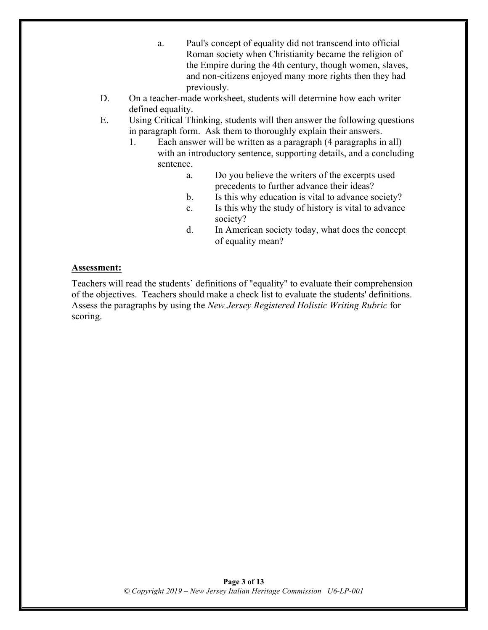- a. Paul's concept of equality did not transcend into official Roman society when Christianity became the religion of the Empire during the 4th century, though women, slaves, and non-citizens enjoyed many more rights then they had previously.
- D. On a teacher-made worksheet, students will determine how each writer defined equality.
- E. Using Critical Thinking, students will then answer the following questions in paragraph form. Ask them to thoroughly explain their answers.
	- 1. Each answer will be written as a paragraph (4 paragraphs in all) with an introductory sentence, supporting details, and a concluding sentence.
		- a. Do you believe the writers of the excerpts used precedents to further advance their ideas?
		- b. Is this why education is vital to advance society?
		- c. Is this why the study of history is vital to advance society?
		- d. In American society today, what does the concept of equality mean?

### **Assessment:**

Teachers will read the students' definitions of "equality" to evaluate their comprehension of the objectives. Teachers should make a check list to evaluate the students' definitions. Assess the paragraphs by using the *New Jersey Registered Holistic Writing Rubric* for scoring.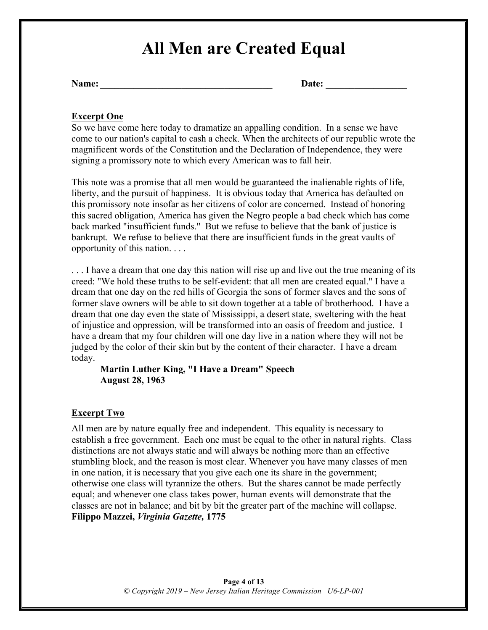## **All Men are Created Equal**

| Name: |  | <b>Date:</b> |  |
|-------|--|--------------|--|
|-------|--|--------------|--|

## **Excerpt One**

So we have come here today to dramatize an appalling condition. In a sense we have come to our nation's capital to cash a check. When the architects of our republic wrote the magnificent words of the Constitution and the Declaration of Independence, they were signing a promissory note to which every American was to fall heir.

This note was a promise that all men would be guaranteed the inalienable rights of life, liberty, and the pursuit of happiness. It is obvious today that America has defaulted on this promissory note insofar as her citizens of color are concerned. Instead of honoring this sacred obligation, America has given the Negro people a bad check which has come back marked "insufficient funds." But we refuse to believe that the bank of justice is bankrupt. We refuse to believe that there are insufficient funds in the great vaults of opportunity of this nation. . . .

... I have a dream that one day this nation will rise up and live out the true meaning of its creed: "We hold these truths to be self-evident: that all men are created equal." I have a dream that one day on the red hills of Georgia the sons of former slaves and the sons of former slave owners will be able to sit down together at a table of brotherhood. I have a dream that one day even the state of Mississippi, a desert state, sweltering with the heat of injustice and oppression, will be transformed into an oasis of freedom and justice. I have a dream that my four children will one day live in a nation where they will not be judged by the color of their skin but by the content of their character. I have a dream today.

### **Martin Luther King, "I Have a Dream" Speech August 28, 1963**

## **Excerpt Two**

All men are by nature equally free and independent. This equality is necessary to establish a free government. Each one must be equal to the other in natural rights. Class distinctions are not always static and will always be nothing more than an effective stumbling block, and the reason is most clear. Whenever you have many classes of men in one nation, it is necessary that you give each one its share in the government; otherwise one class will tyrannize the others. But the shares cannot be made perfectly equal; and whenever one class takes power, human events will demonstrate that the classes are not in balance; and bit by bit the greater part of the machine will collapse. **Filippo Mazzei,** *Virginia Gazette,* **1775**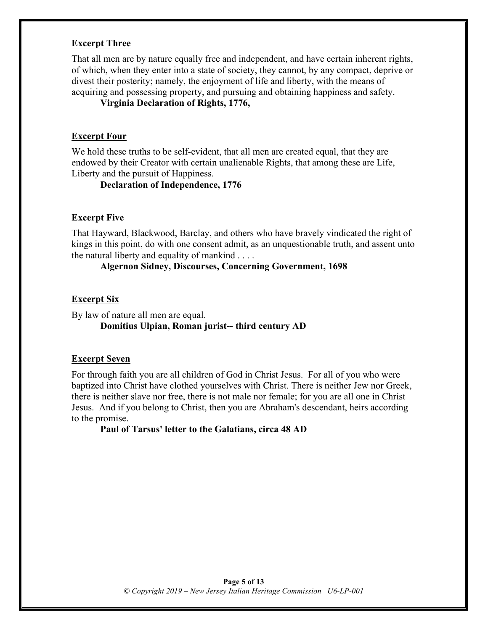## **Excerpt Three**

That all men are by nature equally free and independent, and have certain inherent rights, of which, when they enter into a state of society, they cannot, by any compact, deprive or divest their posterity; namely, the enjoyment of life and liberty, with the means of acquiring and possessing property, and pursuing and obtaining happiness and safety.

#### **Virginia Declaration of Rights, 1776,**

#### **Excerpt Four**

We hold these truths to be self-evident, that all men are created equal, that they are endowed by their Creator with certain unalienable Rights, that among these are Life, Liberty and the pursuit of Happiness.

**Declaration of Independence, 1776**

#### **Excerpt Five**

That Hayward, Blackwood, Barclay, and others who have bravely vindicated the right of kings in this point, do with one consent admit, as an unquestionable truth, and assent unto the natural liberty and equality of mankind . . . .

**Algernon Sidney, Discourses, Concerning Government, 1698**

### **Excerpt Six**

By law of nature all men are equal. **Domitius Ulpian, Roman jurist-- third century AD**

#### **Excerpt Seven**

For through faith you are all children of God in Christ Jesus. For all of you who were baptized into Christ have clothed yourselves with Christ. There is neither Jew nor Greek, there is neither slave nor free, there is not male nor female; for you are all one in Christ Jesus. And if you belong to Christ, then you are Abraham's descendant, heirs according to the promise.

**Paul of Tarsus' letter to the Galatians, circa 48 AD**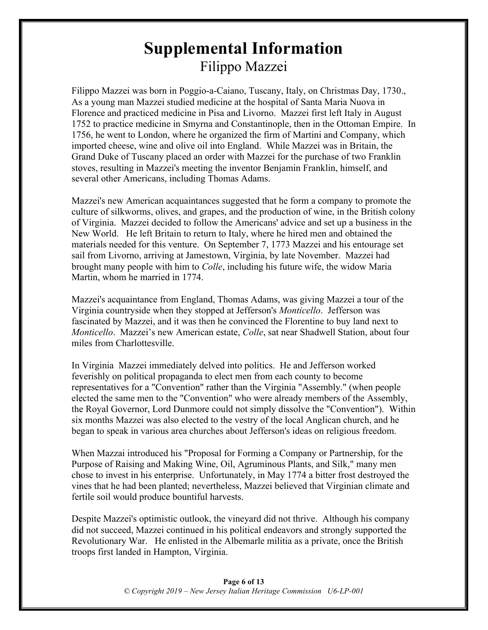## **Supplemental Information** Filippo Mazzei

Filippo Mazzei was born in Poggio-a-Caiano, Tuscany, Italy, on Christmas Day, 1730., As a young man Mazzei studied medicine at the hospital of Santa Maria Nuova in Florence and practiced medicine in Pisa and Livorno. Mazzei first left Italy in August 1752 to practice medicine in Smyrna and Constantinople, then in the Ottoman Empire. In 1756, he went to London, where he organized the firm of Martini and Company, which imported cheese, wine and olive oil into England. While Mazzei was in Britain, the Grand Duke of Tuscany placed an order with Mazzei for the purchase of two Franklin stoves, resulting in Mazzei's meeting the inventor Benjamin Franklin, himself, and several other Americans, including Thomas Adams.

Mazzei's new American acquaintances suggested that he form a company to promote the culture of silkworms, olives, and grapes, and the production of wine, in the British colony of Virginia. Mazzei decided to follow the Americans' advice and set up a business in the New World. He left Britain to return to Italy, where he hired men and obtained the materials needed for this venture. On September 7, 1773 Mazzei and his entourage set sail from Livorno, arriving at Jamestown, Virginia, by late November. Mazzei had brought many people with him to *Colle*, including his future wife, the widow Maria Martin, whom he married in 1774.

Mazzei's acquaintance from England, Thomas Adams, was giving Mazzei a tour of the Virginia countryside when they stopped at Jefferson's *Monticello*. Jefferson was fascinated by Mazzei, and it was then he convinced the Florentine to buy land next to *Monticello*. Mazzei's new American estate, *Colle*, sat near Shadwell Station, about four miles from Charlottesville.

In Virginia Mazzei immediately delved into politics. He and Jefferson worked feverishly on political propaganda to elect men from each county to become representatives for a "Convention" rather than the Virginia "Assembly." (when people elected the same men to the "Convention" who were already members of the Assembly, the Royal Governor, Lord Dunmore could not simply dissolve the "Convention"). Within six months Mazzei was also elected to the vestry of the local Anglican church, and he began to speak in various area churches about Jefferson's ideas on religious freedom.

When Mazzai introduced his "Proposal for Forming a Company or Partnership, for the Purpose of Raising and Making Wine, Oil, Agruminous Plants, and Silk," many men chose to invest in his enterprise. Unfortunately, in May 1774 a bitter frost destroyed the vines that he had been planted; nevertheless, Mazzei believed that Virginian climate and fertile soil would produce bountiful harvests.

Despite Mazzei's optimistic outlook, the vineyard did not thrive. Although his company did not succeed, Mazzei continued in his political endeavors and strongly supported the Revolutionary War. He enlisted in the Albemarle militia as a private, once the British troops first landed in Hampton, Virginia.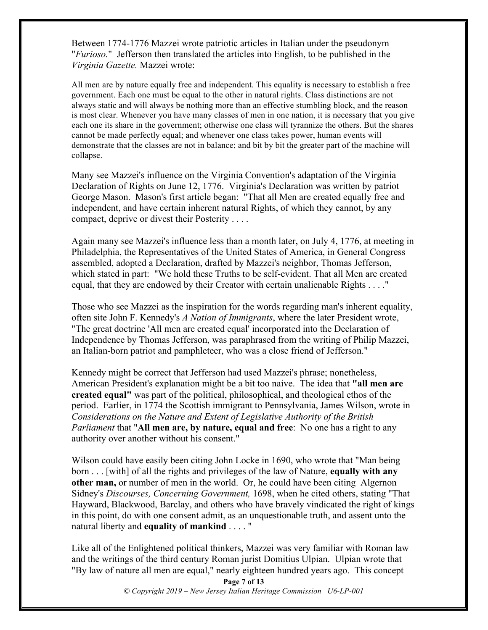Between 1774-1776 Mazzei wrote patriotic articles in Italian under the pseudonym "*Furioso.*" Jefferson then translated the articles into English, to be published in the *Virginia Gazette.* Mazzei wrote:

All men are by nature equally free and independent. This equality is necessary to establish a free government. Each one must be equal to the other in natural rights. Class distinctions are not always static and will always be nothing more than an effective stumbling block, and the reason is most clear. Whenever you have many classes of men in one nation, it is necessary that you give each one its share in the government; otherwise one class will tyrannize the others. But the shares cannot be made perfectly equal; and whenever one class takes power, human events will demonstrate that the classes are not in balance; and bit by bit the greater part of the machine will collapse.

Many see Mazzei's influence on the Virginia Convention's adaptation of the Virginia Declaration of Rights on June 12, 1776. Virginia's Declaration was written by patriot George Mason. Mason's first article began: "That all Men are created equally free and independent, and have certain inherent natural Rights, of which they cannot, by any compact, deprive or divest their Posterity . . . .

Again many see Mazzei's influence less than a month later, on July 4, 1776, at meeting in Philadelphia, the Representatives of the United States of America, in General Congress assembled, adopted a Declaration, drafted by Mazzei's neighbor, Thomas Jefferson, which stated in part: "We hold these Truths to be self-evident. That all Men are created equal, that they are endowed by their Creator with certain unalienable Rights . . . ."

Those who see Mazzei as the inspiration for the words regarding man's inherent equality, often site John F. Kennedy's *A Nation of Immigrants*, where the later President wrote, "The great doctrine 'All men are created equal' incorporated into the Declaration of Independence by Thomas Jefferson, was paraphrased from the writing of Philip Mazzei, an Italian-born patriot and pamphleteer, who was a close friend of Jefferson."

Kennedy might be correct that Jefferson had used Mazzei's phrase; nonetheless, American President's explanation might be a bit too naive. The idea that **"all men are created equal"** was part of the political, philosophical, and theological ethos of the period. Earlier, in 1774 the Scottish immigrant to Pennsylvania, James Wilson, wrote in *Considerations on the Nature and Extent of Legislative Authority of the British Parliament* that "**All men are, by nature, equal and free**: No one has a right to any authority over another without his consent."

Wilson could have easily been citing John Locke in 1690, who wrote that "Man being born . . . [with] of all the rights and privileges of the law of Nature, **equally with any other man,** or number of men in the world. Or, he could have been citing Algernon Sidney's *Discourses, Concerning Government,* 1698, when he cited others, stating "That Hayward, Blackwood, Barclay, and others who have bravely vindicated the right of kings in this point, do with one consent admit, as an unquestionable truth, and assent unto the natural liberty and **equality of mankind** . . . . "

Like all of the Enlightened political thinkers, Mazzei was very familiar with Roman law and the writings of the third century Roman jurist Domitius Ulpian. Ulpian wrote that "By law of nature all men are equal," nearly eighteen hundred years ago. This concept

> **Page 7 of 13** *© Copyright 2019 – New Jersey Italian Heritage Commission U6-LP-001*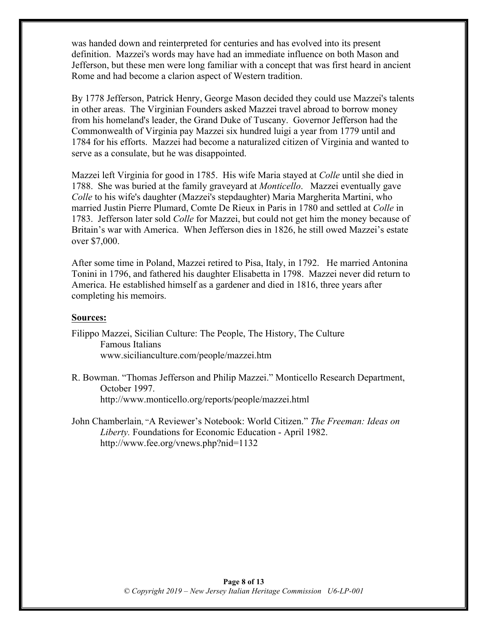was handed down and reinterpreted for centuries and has evolved into its present definition. Mazzei's words may have had an immediate influence on both Mason and Jefferson, but these men were long familiar with a concept that was first heard in ancient Rome and had become a clarion aspect of Western tradition.

By 1778 Jefferson, Patrick Henry, George Mason decided they could use Mazzei's talents in other areas. The Virginian Founders asked Mazzei travel abroad to borrow money from his homeland's leader, the Grand Duke of Tuscany. Governor Jefferson had the Commonwealth of Virginia pay Mazzei six hundred luigi a year from 1779 until and 1784 for his efforts. Mazzei had become a naturalized citizen of Virginia and wanted to serve as a consulate, but he was disappointed.

Mazzei left Virginia for good in 1785. His wife Maria stayed at *Colle* until she died in 1788. She was buried at the family graveyard at *Monticello*. Mazzei eventually gave *Colle* to his wife's daughter (Mazzei's stepdaughter) Maria Margherita Martini, who married Justin Pierre Plumard, Comte De Rieux in Paris in 1780 and settled at *Colle* in 1783. Jefferson later sold *Colle* for Mazzei, but could not get him the money because of Britain's war with America. When Jefferson dies in 1826, he still owed Mazzei's estate over \$7,000.

After some time in Poland, Mazzei retired to Pisa, Italy, in 1792. He married Antonina Tonini in 1796, and fathered his daughter Elisabetta in 1798. Mazzei never did return to America. He established himself as a gardener and died in 1816, three years after completing his memoirs.

#### **Sources:**

Filippo Mazzei, Sicilian Culture: The People, The History, The Culture Famous Italians www.sicilianculture.com/people/mazzei.htm

- R. Bowman. "Thomas Jefferson and Philip Mazzei." Monticello Research Department, October 1997. http://www.monticello.org/reports/people/mazzei.html
- John Chamberlain, "A Reviewer's Notebook: World Citizen." *The Freeman: Ideas on Liberty.* Foundations for Economic Education - April 1982. http://www.fee.org/vnews.php?nid=1132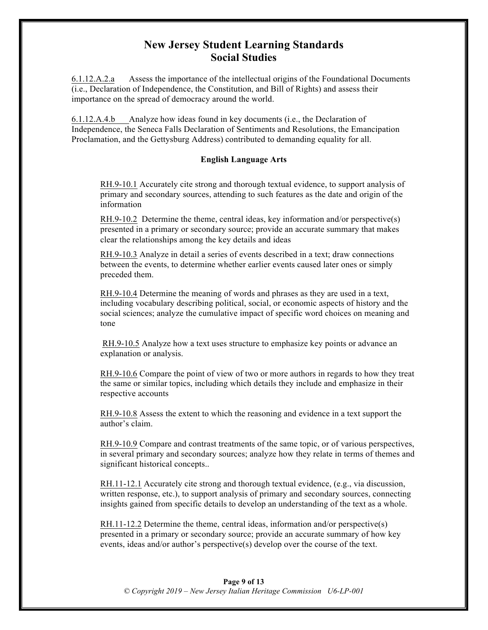## **New Jersey Student Learning Standards Social Studies**

6.1.12.A.2.a Assess the importance of the intellectual origins of the Foundational Documents (i.e., Declaration of Independence, the Constitution, and Bill of Rights) and assess their importance on the spread of democracy around the world.

6.1.12.A.4.b Analyze how ideas found in key documents (i.e., the Declaration of Independence, the Seneca Falls Declaration of Sentiments and Resolutions, the Emancipation Proclamation, and the Gettysburg Address) contributed to demanding equality for all.

#### **English Language Arts**

RH.9-10.1 Accurately cite strong and thorough textual evidence, to support analysis of primary and secondary sources, attending to such features as the date and origin of the information

RH.9-10.2 Determine the theme, central ideas, key information and/or perspective(s) presented in a primary or secondary source; provide an accurate summary that makes clear the relationships among the key details and ideas

RH.9-10.3 Analyze in detail a series of events described in a text; draw connections between the events, to determine whether earlier events caused later ones or simply preceded them.

RH.9-10.4 Determine the meaning of words and phrases as they are used in a text, including vocabulary describing political, social, or economic aspects of history and the social sciences; analyze the cumulative impact of specific word choices on meaning and tone

RH.9-10.5 Analyze how a text uses structure to emphasize key points or advance an explanation or analysis.

RH.9-10.6 Compare the point of view of two or more authors in regards to how they treat the same or similar topics, including which details they include and emphasize in their respective accounts

RH.9-10.8 Assess the extent to which the reasoning and evidence in a text support the author's claim.

RH.9-10.9 Compare and contrast treatments of the same topic, or of various perspectives, in several primary and secondary sources; analyze how they relate in terms of themes and significant historical concepts..

RH.11-12.1 Accurately cite strong and thorough textual evidence, (e.g., via discussion, written response, etc.), to support analysis of primary and secondary sources, connecting insights gained from specific details to develop an understanding of the text as a whole.

RH.11-12.2 Determine the theme, central ideas, information and/or perspective(s) presented in a primary or secondary source; provide an accurate summary of how key events, ideas and/or author's perspective(s) develop over the course of the text.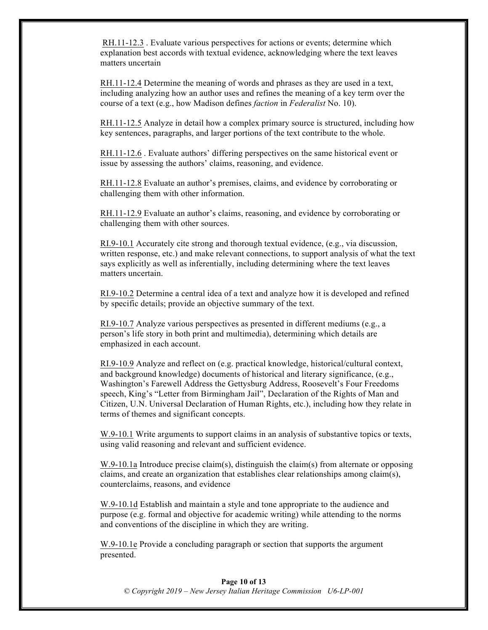RH.11-12.3 . Evaluate various perspectives for actions or events; determine which explanation best accords with textual evidence, acknowledging where the text leaves matters uncertain

RH.11-12.4 Determine the meaning of words and phrases as they are used in a text, including analyzing how an author uses and refines the meaning of a key term over the course of a text (e.g., how Madison defines *faction* in *Federalist* No. 10).

RH.11-12.5 Analyze in detail how a complex primary source is structured, including how key sentences, paragraphs, and larger portions of the text contribute to the whole.

RH.11-12.6 . Evaluate authors' differing perspectives on the same historical event or issue by assessing the authors' claims, reasoning, and evidence.

RH.11-12.8 Evaluate an author's premises, claims, and evidence by corroborating or challenging them with other information.

RH.11-12.9 Evaluate an author's claims, reasoning, and evidence by corroborating or challenging them with other sources.

RI.9-10.1 Accurately cite strong and thorough textual evidence, (e.g., via discussion, written response, etc.) and make relevant connections, to support analysis of what the text says explicitly as well as inferentially, including determining where the text leaves matters uncertain.

RI.9-10.2 Determine a central idea of a text and analyze how it is developed and refined by specific details; provide an objective summary of the text.

RI.9-10.7 Analyze various perspectives as presented in different mediums (e.g., a person's life story in both print and multimedia), determining which details are emphasized in each account.

RI.9-10.9 Analyze and reflect on (e.g. practical knowledge, historical/cultural context, and background knowledge) documents of historical and literary significance, (e.g., Washington's Farewell Address the Gettysburg Address, Roosevelt's Four Freedoms speech, King's "Letter from Birmingham Jail", Declaration of the Rights of Man and Citizen, U.N. Universal Declaration of Human Rights, etc.), including how they relate in terms of themes and significant concepts.

W.9-10.1 Write arguments to support claims in an analysis of substantive topics or texts, using valid reasoning and relevant and sufficient evidence.

W.9-10.1a Introduce precise claim(s), distinguish the claim(s) from alternate or opposing claims, and create an organization that establishes clear relationships among claim(s), counterclaims, reasons, and evidence

W.9-10.1d Establish and maintain a style and tone appropriate to the audience and purpose (e.g. formal and objective for academic writing) while attending to the norms and conventions of the discipline in which they are writing.

W.9-10.1e Provide a concluding paragraph or section that supports the argument presented.

#### **Page 10 of 13** *© Copyright 2019 – New Jersey Italian Heritage Commission U6-LP-001*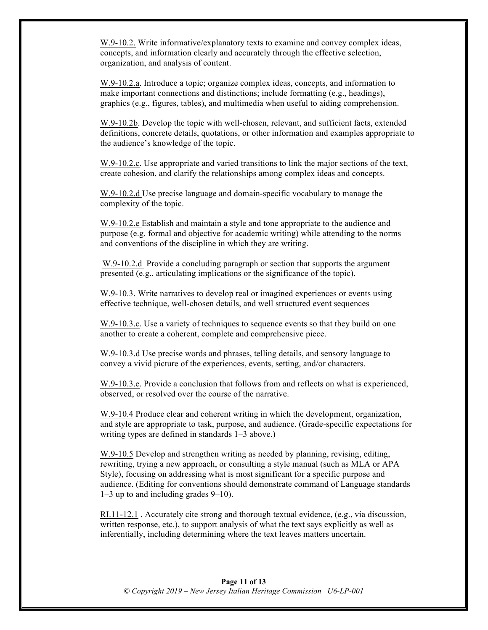W.9-10.2. Write informative/explanatory texts to examine and convey complex ideas, concepts, and information clearly and accurately through the effective selection, organization, and analysis of content.

W.9-10.2.a. Introduce a topic; organize complex ideas, concepts, and information to make important connections and distinctions; include formatting (e.g., headings), graphics (e.g., figures, tables), and multimedia when useful to aiding comprehension.

W.9-10.2b. Develop the topic with well-chosen, relevant, and sufficient facts, extended definitions, concrete details, quotations, or other information and examples appropriate to the audience's knowledge of the topic.

W.9-10.2.c. Use appropriate and varied transitions to link the major sections of the text, create cohesion, and clarify the relationships among complex ideas and concepts.

W.9-10.2.d Use precise language and domain-specific vocabulary to manage the complexity of the topic.

W.9-10.2.e Establish and maintain a style and tone appropriate to the audience and purpose (e.g. formal and objective for academic writing) while attending to the norms and conventions of the discipline in which they are writing.

W.9-10.2.d Provide a concluding paragraph or section that supports the argument presented (e.g., articulating implications or the significance of the topic).

W.9-10.3. Write narratives to develop real or imagined experiences or events using effective technique, well-chosen details, and well structured event sequences

W.9-10.3.c. Use a variety of techniques to sequence events so that they build on one another to create a coherent, complete and comprehensive piece.

W.9-10.3.d Use precise words and phrases, telling details, and sensory language to convey a vivid picture of the experiences, events, setting, and/or characters.

W.9-10.3.e. Provide a conclusion that follows from and reflects on what is experienced, observed, or resolved over the course of the narrative.

W.9-10.4 Produce clear and coherent writing in which the development, organization, and style are appropriate to task, purpose, and audience. (Grade-specific expectations for writing types are defined in standards 1–3 above.)

W.9-10.5 Develop and strengthen writing as needed by planning, revising, editing, rewriting, trying a new approach, or consulting a style manual (such as MLA or APA Style), focusing on addressing what is most significant for a specific purpose and audience. (Editing for conventions should demonstrate command of Language standards 1–3 up to and including grades 9–10).

RI.11-12.1 . Accurately cite strong and thorough textual evidence, (e.g., via discussion, written response, etc.), to support analysis of what the text says explicitly as well as inferentially, including determining where the text leaves matters uncertain.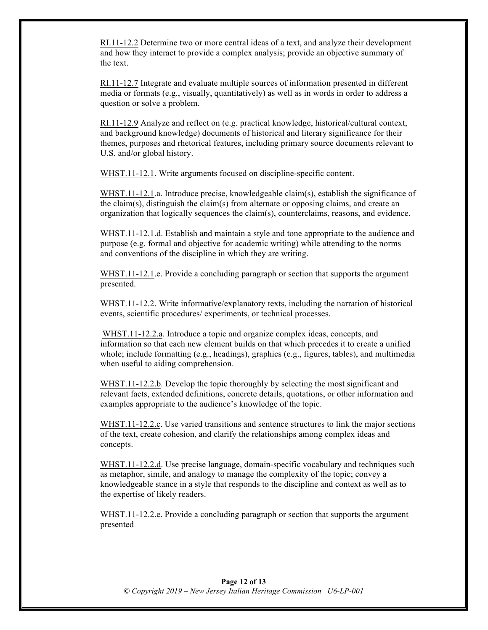RI.11-12.2 Determine two or more central ideas of a text, and analyze their development and how they interact to provide a complex analysis; provide an objective summary of the text.

RI.11-12.7 Integrate and evaluate multiple sources of information presented in different media or formats (e.g., visually, quantitatively) as well as in words in order to address a question or solve a problem.

RI.11-12.9 Analyze and reflect on (e.g. practical knowledge, historical/cultural context, and background knowledge) documents of historical and literary significance for their themes, purposes and rhetorical features, including primary source documents relevant to U.S. and/or global history.

WHST.11-12.1. Write arguments focused on discipline-specific content.

WHST.11-12.1.a. Introduce precise, knowledgeable claim(s), establish the significance of the claim(s), distinguish the claim(s) from alternate or opposing claims, and create an organization that logically sequences the claim(s), counterclaims, reasons, and evidence.

WHST.11-12.1.d. Establish and maintain a style and tone appropriate to the audience and purpose (e.g. formal and objective for academic writing) while attending to the norms and conventions of the discipline in which they are writing.

WHST.11-12.1.e. Provide a concluding paragraph or section that supports the argument presented.

WHST.11-12.2. Write informative/explanatory texts, including the narration of historical events, scientific procedures/ experiments, or technical processes.

WHST.11-12.2.a. Introduce a topic and organize complex ideas, concepts, and information so that each new element builds on that which precedes it to create a unified whole; include formatting (e.g., headings), graphics (e.g., figures, tables), and multimedia when useful to aiding comprehension.

WHST.11-12.2.b. Develop the topic thoroughly by selecting the most significant and relevant facts, extended definitions, concrete details, quotations, or other information and examples appropriate to the audience's knowledge of the topic.

WHST.11-12.2.c. Use varied transitions and sentence structures to link the major sections of the text, create cohesion, and clarify the relationships among complex ideas and concepts.

WHST.11-12.2.d. Use precise language, domain-specific vocabulary and techniques such as metaphor, simile, and analogy to manage the complexity of the topic; convey a knowledgeable stance in a style that responds to the discipline and context as well as to the expertise of likely readers.

WHST.11-12.2.e. Provide a concluding paragraph or section that supports the argument presented